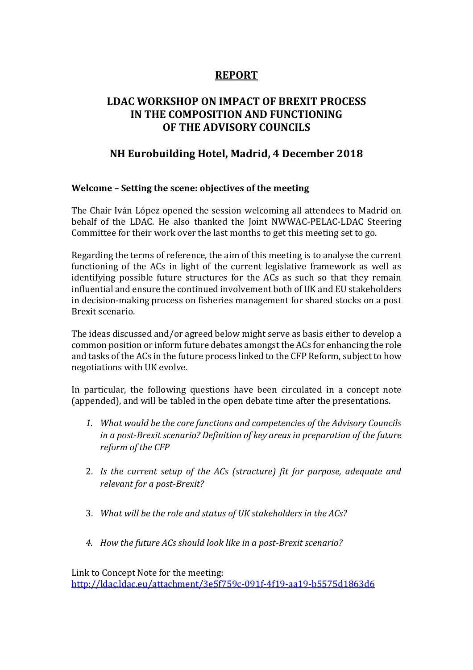# **REPORT**

# **LDAC WORKSHOP ON IMPACT OF BREXIT PROCESS IN THE COMPOSITION AND FUNCTIONING OF THE ADVISORY COUNCILS**

# **NH Eurobuilding Hotel, Madrid, 4 December 2018**

## **Welcome – Setting the scene: objectives of the meeting**

The Chair Iván López opened the session welcoming all attendees to Madrid on behalf of the LDAC. He also thanked the Joint NWWAC-PELAC-LDAC Steering Committee for their work over the last months to get this meeting set to go.

Regarding the terms of reference, the aim of this meeting is to analyse the current functioning of the ACs in light of the current legislative framework as well as identifying possible future structures for the ACs as such so that they remain influential and ensure the continued involvement both of UK and EU stakeholders in decision-making process on fisheries management for shared stocks on a post Brexit scenario.

The ideas discussed and/or agreed below might serve as basis either to develop a common position or inform future debates amongst the ACs for enhancing the role and tasks of the ACs in the future process linked to the CFP Reform, subject to how negotiations with UK evolve.

In particular, the following questions have been circulated in a concept note (appended), and will be tabled in the open debate time after the presentations.

- *1. What would be the core functions and competencies of the Advisory Councils in a post-Brexit scenario? Definition of key areas in preparation of the future reform of the CFP*
- 2. *Is the current setup of the ACs (structure) fit for purpose, adequate and relevant for a post-Brexit?*
- 3. *What will be the role and status of UK stakeholders in the ACs?*
- *4. How the future ACs should look like in a post-Brexit scenario?*

Link to Concept Note for the meeting: <http://ldac.ldac.eu/attachment/3e5f759c-091f-4f19-aa19-b5575d1863d6>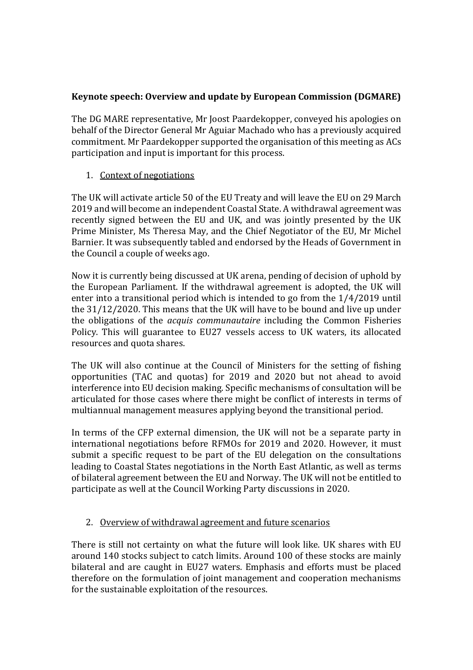## **Keynote speech: Overview and update by European Commission (DGMARE)**

The DG MARE representative, Mr Joost Paardekopper, conveyed his apologies on behalf of the Director General Mr Aguiar Machado who has a previously acquired commitment. Mr Paardekopper supported the organisation of this meeting as ACs participation and input is important for this process.

## 1. Context of negotiations

The UK will activate article 50 of the EU Treaty and will leave the EU on 29 March 2019 and will become an independent Coastal State. A withdrawal agreement was recently signed between the EU and UK, and was jointly presented by the UK Prime Minister, Ms Theresa May, and the Chief Negotiator of the EU, Mr Michel Barnier. It was subsequently tabled and endorsed by the Heads of Government in the Council a couple of weeks ago.

Now it is currently being discussed at UK arena, pending of decision of uphold by the European Parliament. If the withdrawal agreement is adopted, the UK will enter into a transitional period which is intended to go from the 1/4/2019 until the 31/12/2020. This means that the UK will have to be bound and live up under the obligations of the *acquis communautaire* including the Common Fisheries Policy. This will guarantee to EU27 vessels access to UK waters, its allocated resources and quota shares.

The UK will also continue at the Council of Ministers for the setting of fishing opportunities (TAC and quotas) for 2019 and 2020 but not ahead to avoid interference into EU decision making. Specific mechanisms of consultation will be articulated for those cases where there might be conflict of interests in terms of multiannual management measures applying beyond the transitional period.

In terms of the CFP external dimension, the UK will not be a separate party in international negotiations before RFMOs for 2019 and 2020. However, it must submit a specific request to be part of the EU delegation on the consultations leading to Coastal States negotiations in the North East Atlantic, as well as terms of bilateral agreement between the EU and Norway. The UK will not be entitled to participate as well at the Council Working Party discussions in 2020.

## 2. Overview of withdrawal agreement and future scenarios

There is still not certainty on what the future will look like. UK shares with EU around 140 stocks subject to catch limits. Around 100 of these stocks are mainly bilateral and are caught in EU27 waters. Emphasis and efforts must be placed therefore on the formulation of joint management and cooperation mechanisms for the sustainable exploitation of the resources.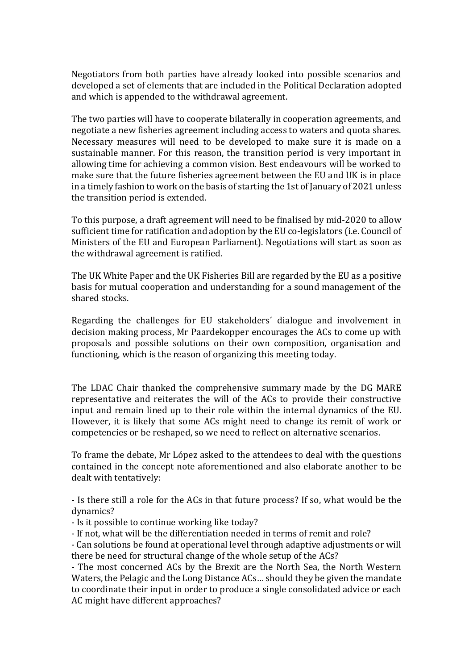Negotiators from both parties have already looked into possible scenarios and developed a set of elements that are included in the Political Declaration adopted and which is appended to the withdrawal agreement.

The two parties will have to cooperate bilaterally in cooperation agreements, and negotiate a new fisheries agreement including access to waters and quota shares. Necessary measures will need to be developed to make sure it is made on a sustainable manner. For this reason, the transition period is very important in allowing time for achieving a common vision. Best endeavours will be worked to make sure that the future fisheries agreement between the EU and UK is in place in a timely fashion to work on the basis of starting the 1st of January of 2021 unless the transition period is extended.

To this purpose, a draft agreement will need to be finalised by mid-2020 to allow sufficient time for ratification and adoption by the EU co-legislators (i.e. Council of Ministers of the EU and European Parliament). Negotiations will start as soon as the withdrawal agreement is ratified.

The UK White Paper and the UK Fisheries Bill are regarded by the EU as a positive basis for mutual cooperation and understanding for a sound management of the shared stocks.

Regarding the challenges for EU stakeholders´ dialogue and involvement in decision making process, Mr Paardekopper encourages the ACs to come up with proposals and possible solutions on their own composition, organisation and functioning, which is the reason of organizing this meeting today.

The LDAC Chair thanked the comprehensive summary made by the DG MARE representative and reiterates the will of the ACs to provide their constructive input and remain lined up to their role within the internal dynamics of the EU. However, it is likely that some ACs might need to change its remit of work or competencies or be reshaped, so we need to reflect on alternative scenarios.

To frame the debate, Mr López asked to the attendees to deal with the questions contained in the concept note aforementioned and also elaborate another to be dealt with tentatively:

- Is there still a role for the ACs in that future process? If so, what would be the dynamics?

- Is it possible to continue working like today?

- If not, what will be the differentiation needed in terms of remit and role?

- Can solutions be found at operational level through adaptive adjustments or will there be need for structural change of the whole setup of the ACs?

- The most concerned ACs by the Brexit are the North Sea, the North Western Waters, the Pelagic and the Long Distance ACs… should they be given the mandate to coordinate their input in order to produce a single consolidated advice or each AC might have different approaches?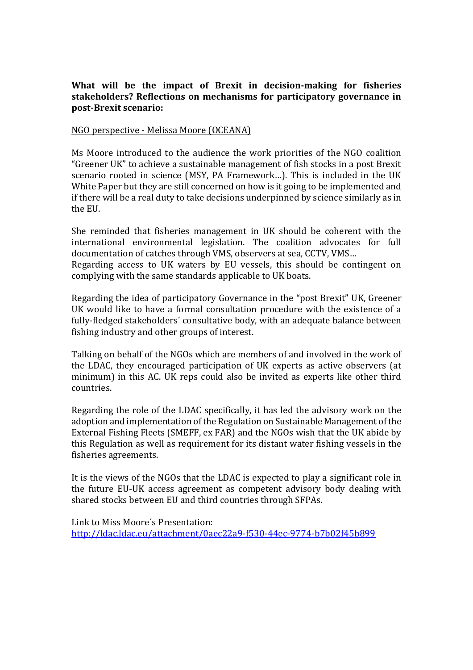## **What will be the impact of Brexit in decision-making for fisheries stakeholders? Reflections on mechanisms for participatory governance in post-Brexit scenario:**

#### NGO perspective - Melissa Moore (OCEANA)

Ms Moore introduced to the audience the work priorities of the NGO coalition "Greener UK" to achieve a sustainable management of fish stocks in a post Brexit scenario rooted in science (MSY, PA Framework…). This is included in the UK White Paper but they are still concerned on how is it going to be implemented and if there will be a real duty to take decisions underpinned by science similarly as in the EU.

She reminded that fisheries management in UK should be coherent with the international environmental legislation. The coalition advocates for full documentation of catches through VMS, observers at sea, CCTV, VMS…

Regarding access to UK waters by EU vessels, this should be contingent on complying with the same standards applicable to UK boats.

Regarding the idea of participatory Governance in the "post Brexit" UK, Greener UK would like to have a formal consultation procedure with the existence of a fully-fledged stakeholders´ consultative body, with an adequate balance between fishing industry and other groups of interest.

Talking on behalf of the NGOs which are members of and involved in the work of the LDAC, they encouraged participation of UK experts as active observers (at minimum) in this AC. UK reps could also be invited as experts like other third countries.

Regarding the role of the LDAC specifically, it has led the advisory work on the adoption and implementation of the Regulation on Sustainable Management of the External Fishing Fleets (SMEFF, ex FAR) and the NGOs wish that the UK abide by this Regulation as well as requirement for its distant water fishing vessels in the fisheries agreements.

It is the views of the NGOs that the LDAC is expected to play a significant role in the future EU-UK access agreement as competent advisory body dealing with shared stocks between EU and third countries through SFPAs.

Link to Miss Moore´s Presentation:

<http://ldac.ldac.eu/attachment/0aec22a9-f530-44ec-9774-b7b02f45b899>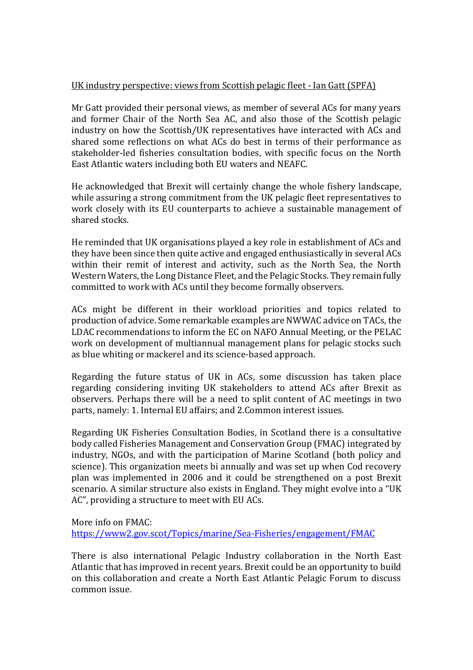## UK industry perspective: views from Scottish pelagic fleet - Ian Gatt (SPFA)

Mr Gatt provided their personal views, as member of several ACs for many years and former Chair of the North Sea AC, and also those of the Scottish pelagic industry on how the Scottish/UK representatives have interacted with ACs and shared some reflections on what ACs do best in terms of their performance as stakeholder-led fisheries consultation bodies, with specific focus on the North East Atlantic waters including both EU waters and NEAFC.

He acknowledged that Brexit will certainly change the whole fishery landscape, while assuring a strong commitment from the UK pelagic fleet representatives to work closely with its EU counterparts to achieve a sustainable management of shared stocks.

He reminded that UK organisations played a key role in establishment of ACs and they have been since then quite active and engaged enthusiastically in several ACs within their remit of interest and activity, such as the North Sea, the North Western Waters, the Long Distance Fleet, and the Pelagic Stocks. They remain fully committed to work with ACs until they become formally observers.

ACs might be different in their workload priorities and topics related to production of advice. Some remarkable examples are NWWAC advice on TACs, the LDAC recommendations to inform the EC on NAFO Annual Meeting, or the PELAC work on development of multiannual management plans for pelagic stocks such as blue whiting or mackerel and its science-based approach.

Regarding the future status of UK in ACs, some discussion has taken place regarding considering inviting UK stakeholders to attend ACs after Brexit as observers. Perhaps there will be a need to split content of AC meetings in two parts, namely: 1. Internal EU affairs; and 2.Common interest issues.

Regarding UK Fisheries Consultation Bodies, in Scotland there is a consultative body called Fisheries Management and Conservation Group (FMAC) integrated by industry, NGOs, and with the participation of Marine Scotland (both policy and science). This organization meets bi annually and was set up when Cod recovery plan was implemented in 2006 and it could be strengthened on a post Brexit scenario. A similar structure also exists in England. They might evolve into a "UK AC", providing a structure to meet with EU ACs.

More info on FMAC:

<https://www2.gov.scot/Topics/marine/Sea-Fisheries/engagement/FMAC>

There is also international Pelagic Industry collaboration in the North East Atlantic that has improved in recent years. Brexit could be an opportunity to build on this collaboration and create a North East Atlantic Pelagic Forum to discuss common issue.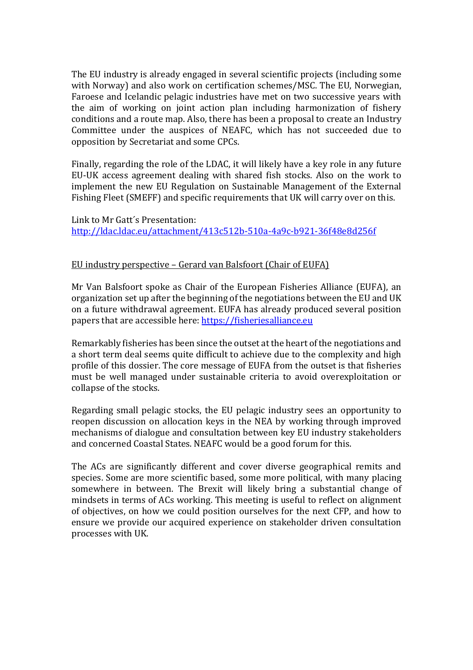The EU industry is already engaged in several scientific projects (including some with Norway) and also work on certification schemes/MSC. The EU, Norwegian, Faroese and Icelandic pelagic industries have met on two successive years with the aim of working on joint action plan including harmonization of fishery conditions and a route map. Also, there has been a proposal to create an Industry Committee under the auspices of NEAFC, which has not succeeded due to opposition by Secretariat and some CPCs.

Finally, regarding the role of the LDAC, it will likely have a key role in any future EU-UK access agreement dealing with shared fish stocks. Also on the work to implement the new EU Regulation on Sustainable Management of the External Fishing Fleet (SMEFF) and specific requirements that UK will carry over on this.

Link to Mr Gatt´s Presentation: <http://ldac.ldac.eu/attachment/413c512b-510a-4a9c-b921-36f48e8d256f>

#### EU industry perspective – Gerard van Balsfoort (Chair of EUFA)

Mr Van Balsfoort spoke as Chair of the European Fisheries Alliance (EUFA), an organization set up after the beginning of the negotiations between the EU and UK on a future withdrawal agreement. EUFA has already produced several position papers that are accessible here: [https://fisheriesalliance.eu](https://fisheriesalliance.eu/)

Remarkably fisheries has been since the outset at the heart of the negotiations and a short term deal seems quite difficult to achieve due to the complexity and high profile of this dossier. The core message of EUFA from the outset is that fisheries must be well managed under sustainable criteria to avoid overexploitation or collapse of the stocks.

Regarding small pelagic stocks, the EU pelagic industry sees an opportunity to reopen discussion on allocation keys in the NEA by working through improved mechanisms of dialogue and consultation between key EU industry stakeholders and concerned Coastal States. NEAFC would be a good forum for this.

The ACs are significantly different and cover diverse geographical remits and species. Some are more scientific based, some more political, with many placing somewhere in between. The Brexit will likely bring a substantial change of mindsets in terms of ACs working. This meeting is useful to reflect on alignment of objectives, on how we could position ourselves for the next CFP, and how to ensure we provide our acquired experience on stakeholder driven consultation processes with UK.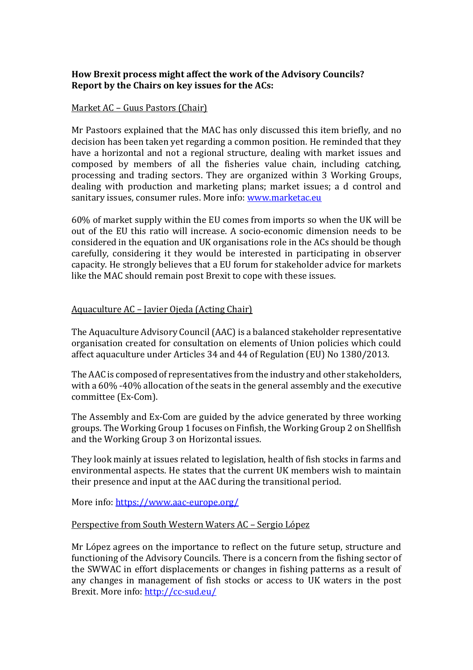## **How Brexit process might affect the work of the Advisory Councils? Report by the Chairs on key issues for the ACs:**

#### Market AC – Guus Pastors (Chair)

Mr Pastoors explained that the MAC has only discussed this item briefly, and no decision has been taken yet regarding a common position. He reminded that they have a horizontal and not a regional structure, dealing with market issues and composed by members of all the fisheries value chain, including catching, processing and trading sectors. They are organized within 3 Working Groups, dealing with production and marketing plans; market issues; a d control and sanitary issues, consumer rules. More info: [www.marketac.eu](http://www.marketac.eu/)

60% of market supply within the EU comes from imports so when the UK will be out of the EU this ratio will increase. A socio-economic dimension needs to be considered in the equation and UK organisations role in the ACs should be though carefully, considering it they would be interested in participating in observer capacity. He strongly believes that a EU forum for stakeholder advice for markets like the MAC should remain post Brexit to cope with these issues.

#### Aquaculture AC – Javier Ojeda (Acting Chair)

The Aquaculture Advisory Council (AAC) is a balanced stakeholder representative organisation created for consultation on elements of Union policies which could affect aquaculture under Articles 34 and 44 of Regulation (EU) No 1380/2013.

The AAC is composed of representatives from the industry and other stakeholders, with a 60% -40% allocation of the seats in the general assembly and the executive committee (Ex-Com).

The Assembly and Ex-Com are guided by the advice generated by three working groups. The Working Group 1 focuses on Finfish, the Working Group 2 on Shellfish and the Working Group 3 on Horizontal issues.

They look mainly at issues related to legislation, health of fish stocks in farms and environmental aspects. He states that the current UK members wish to maintain their presence and input at the AAC during the transitional period.

More info:<https://www.aac-europe.org/>

#### Perspective from South Western Waters AC – Sergio López

Mr López agrees on the importance to reflect on the future setup, structure and functioning of the Advisory Councils. There is a concern from the fishing sector of the SWWAC in effort displacements or changes in fishing patterns as a result of any changes in management of fish stocks or access to UK waters in the post Brexit. More info:<http://cc-sud.eu/>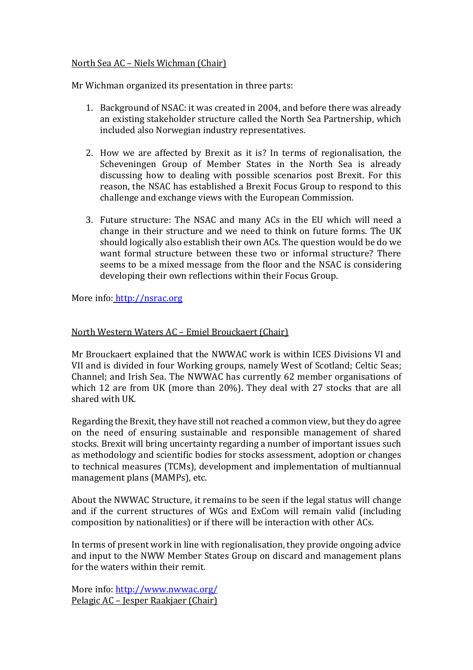## North Sea AC – Niels Wichman (Chair)

Mr Wichman organized its presentation in three parts:

- 1. Background of NSAC: it was created in 2004, and before there was already an existing stakeholder structure called the North Sea Partnership, which included also Norwegian industry representatives.
- 2. How we are affected by Brexit as it is? In terms of regionalisation, the Scheveningen Group of Member States in the North Sea is already discussing how to dealing with possible scenarios post Brexit. For this reason, the NSAC has established a Brexit Focus Group to respond to this challenge and exchange views with the European Commission.
- 3. Future structure: The NSAC and many ACs in the EU which will need a change in their structure and we need to think on future forms. The UK should logically also establish their own ACs. The question would be do we want formal structure between these two or informal structure? There seems to be a mixed message from the floor and the NSAC is considering developing their own reflections within their Focus Group.

More info: [http://nsrac.org](http://nsrac.org/)

## North Western Waters AC – Emiel Brouckaert (Chair)

Mr Brouckaert explained that the NWWAC work is within ICES Divisions VI and VII and is divided in four Working groups, namely West of Scotland; Celtic Seas; Channel; and Irish Sea. The NWWAC has currently 62 member organisations of which 12 are from UK (more than 20%). They deal with 27 stocks that are all shared with UK.

Regarding the Brexit, they have still not reached a common view, but they do agree on the need of ensuring sustainable and responsible management of shared stocks. Brexit will bring uncertainty regarding a number of important issues such as methodology and scientific bodies for stocks assessment, adoption or changes to technical measures (TCMs), development and implementation of multiannual management plans (MAMPs), etc.

About the NWWAC Structure, it remains to be seen if the legal status will change and if the current structures of WGs and ExCom will remain valid (including composition by nationalities) or if there will be interaction with other ACs.

In terms of present work in line with regionalisation, they provide ongoing advice and input to the NWW Member States Group on discard and management plans for the waters within their remit.

More info:<http://www.nwwac.org/> Pelagic AC – Jesper Raakjaer (Chair)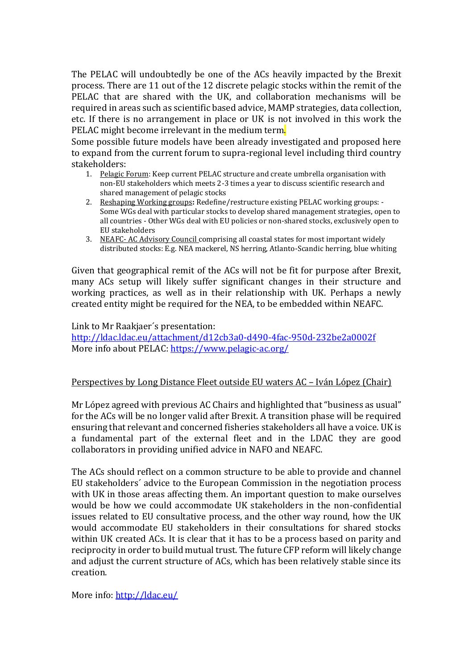The PELAC will undoubtedly be one of the ACs heavily impacted by the Brexit process. There are 11 out of the 12 discrete pelagic stocks within the remit of the PELAC that are shared with the UK, and collaboration mechanisms will be required in areas such as scientific based advice, MAMP strategies, data collection, etc. If there is no arrangement in place or UK is not involved in this work the PELAC might become irrelevant in the medium term.

Some possible future models have been already investigated and proposed here to expand from the current forum to supra-regional level including third country stakeholders:

- 1. Pelagic Forum: Keep current PELAC structure and create umbrella organisation with non-EU stakeholders which meets 2-3 times a year to discuss scientific research and shared management of pelagic stocks
- 2. Reshaping Working groups**:** Redefine/restructure existing PELAC working groups: Some WGs deal with particular stocks to develop shared management strategies, open to all countries - Other WGs deal with EU policies or non-shared stocks, exclusively open to EU stakeholders
- 3. NEAFC- AC Advisory Council comprising all coastal states for most important widely distributed stocks: E.g. NEA mackerel, NS herring, Atlanto-Scandic herring, blue whiting

Given that geographical remit of the ACs will not be fit for purpose after Brexit, many ACs setup will likely suffer significant changes in their structure and working practices, as well as in their relationship with UK. Perhaps a newly created entity might be required for the NEA, to be embedded within NEAFC.

Link to Mr Raakjaer´s presentation: <http://ldac.ldac.eu/attachment/d12cb3a0-d490-4fac-950d-232be2a0002f> More info about PELAC[: https://www.pelagic-ac.org/](https://www.pelagic-ac.org/)

## Perspectives by Long Distance Fleet outside EU waters AC – Iván López (Chair)

Mr López agreed with previous AC Chairs and highlighted that "business as usual" for the ACs will be no longer valid after Brexit. A transition phase will be required ensuring that relevant and concerned fisheries stakeholders all have a voice. UK is a fundamental part of the external fleet and in the LDAC they are good collaborators in providing unified advice in NAFO and NEAFC.

The ACs should reflect on a common structure to be able to provide and channel EU stakeholders´ advice to the European Commission in the negotiation process with UK in those areas affecting them. An important question to make ourselves would be how we could accommodate UK stakeholders in the non-confidential issues related to EU consultative process, and the other way round, how the UK would accommodate EU stakeholders in their consultations for shared stocks within UK created ACs. It is clear that it has to be a process based on parity and reciprocity in order to build mutual trust. The future CFP reform will likely change and adjust the current structure of ACs, which has been relatively stable since its creation.

More info:<http://ldac.eu/>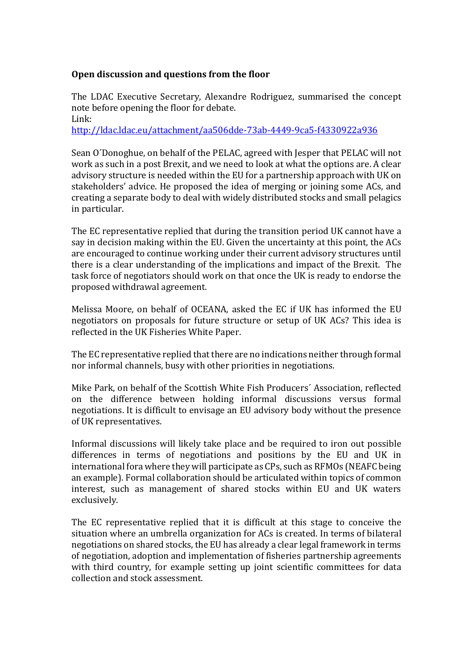## **Open discussion and questions from the floor**

The LDAC Executive Secretary, Alexandre Rodriguez, summarised the concept note before opening the floor for debate. Link:

<http://ldac.ldac.eu/attachment/aa506dde-73ab-4449-9ca5-f4330922a936>

Sean O´Donoghue, on behalf of the PELAC, agreed with Jesper that PELAC will not work as such in a post Brexit, and we need to look at what the options are. A clear advisory structure is needed within the EU for a partnership approach with UK on stakeholders' advice. He proposed the idea of merging or joining some ACs, and creating a separate body to deal with widely distributed stocks and small pelagics in particular.

The EC representative replied that during the transition period UK cannot have a say in decision making within the EU. Given the uncertainty at this point, the ACs are encouraged to continue working under their current advisory structures until there is a clear understanding of the implications and impact of the Brexit. The task force of negotiators should work on that once the UK is ready to endorse the proposed withdrawal agreement.

Melissa Moore, on behalf of OCEANA, asked the EC if UK has informed the EU negotiators on proposals for future structure or setup of UK ACs? This idea is reflected in the UK Fisheries White Paper.

The EC representative replied that there are no indications neither through formal nor informal channels, busy with other priorities in negotiations.

Mike Park, on behalf of the Scottish White Fish Producers´ Association, reflected on the difference between holding informal discussions versus formal negotiations. It is difficult to envisage an EU advisory body without the presence of UK representatives.

Informal discussions will likely take place and be required to iron out possible differences in terms of negotiations and positions by the EU and UK in international fora where they will participate as CPs, such as RFMOs (NEAFC being an example). Formal collaboration should be articulated within topics of common interest, such as management of shared stocks within EU and UK waters exclusively.

The EC representative replied that it is difficult at this stage to conceive the situation where an umbrella organization for ACs is created. In terms of bilateral negotiations on shared stocks, the EU has already a clear legal framework in terms of negotiation, adoption and implementation of fisheries partnership agreements with third country, for example setting up joint scientific committees for data collection and stock assessment.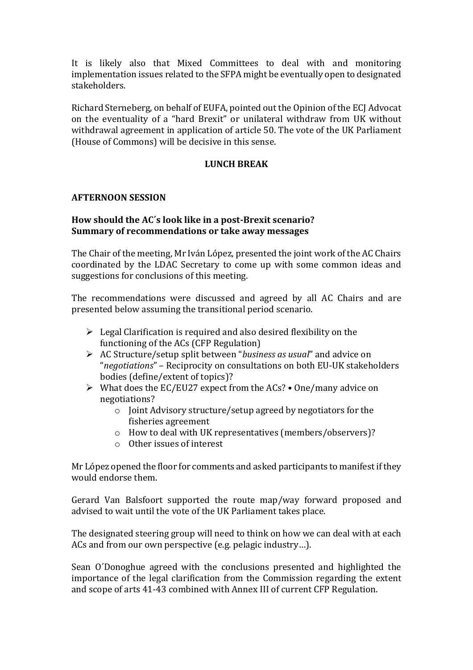It is likely also that Mixed Committees to deal with and monitoring implementation issues related to the SFPA might be eventually open to designated stakeholders.

Richard Sterneberg, on behalf of EUFA, pointed out the Opinion of the ECJ Advocat on the eventuality of a "hard Brexit" or unilateral withdraw from UK without withdrawal agreement in application of article 50. The vote of the UK Parliament (House of Commons) will be decisive in this sense.

## **LUNCH BREAK**

#### **AFTERNOON SESSION**

### **How should the AC´s look like in a post-Brexit scenario? Summary of recommendations or take away messages**

The Chair of the meeting, Mr Iván López, presented the joint work of the AC Chairs coordinated by the LDAC Secretary to come up with some common ideas and suggestions for conclusions of this meeting.

The recommendations were discussed and agreed by all AC Chairs and are presented below assuming the transitional period scenario.

- $\triangleright$  Legal Clarification is required and also desired flexibility on the functioning of the ACs (CFP Regulation)
- AC Structure/setup split between "*business as usual*" and advice on "*negotiations*" – Reciprocity on consultations on both EU-UK stakeholders bodies (define/extent of topics)?
- What does the EC/EU27 expect from the ACs? One/many advice on negotiations?
	- o Joint Advisory structure/setup agreed by negotiators for the fisheries agreement
	- o How to deal with UK representatives (members/observers)?
	- o Other issues of interest

Mr López opened the floor for comments and asked participants to manifest if they would endorse them.

Gerard Van Balsfoort supported the route map/way forward proposed and advised to wait until the vote of the UK Parliament takes place.

The designated steering group will need to think on how we can deal with at each ACs and from our own perspective (e.g. pelagic industry…).

Sean O´Donoghue agreed with the conclusions presented and highlighted the importance of the legal clarification from the Commission regarding the extent and scope of arts 41-43 combined with Annex III of current CFP Regulation.